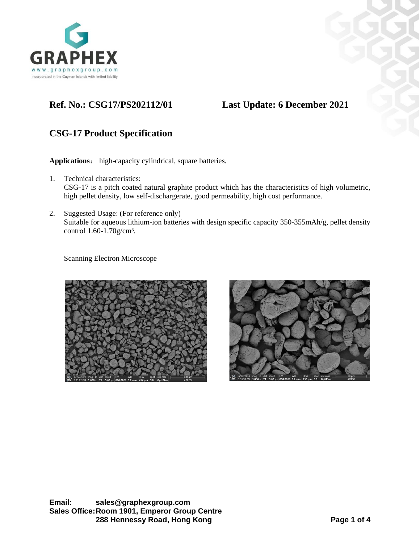

## **Ref. No.: CSG17/PS202112/01 Last Update: 6 December 2021**

## **CSG-17 Product Specification**

**Applications**: high-capacity cylindrical, square batteries.

- 1. Technical characteristics: CSG-17 is a pitch coated natural graphite product which has the characteristics of high volumetric, high pellet density, low self-dischargerate, good permeability, high cost performance.
- 2. Suggested Usage: (For reference only) Suitable for aqueous lithium-ion batteries with design specific capacity 350-355mAh/g, pellet density control 1.60-1.70g/cm<sup>3</sup>.

Scanning Electron Microscope



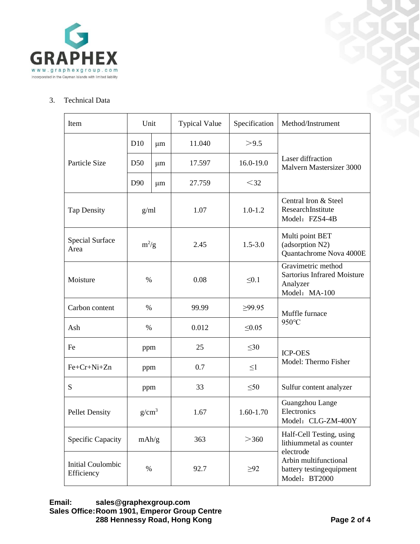

## 3. Technical Data

| Item                                   | Unit            |    | <b>Typical Value</b> | Specification | Method/Instrument                                                                                                                      |
|----------------------------------------|-----------------|----|----------------------|---------------|----------------------------------------------------------------------------------------------------------------------------------------|
| Particle Size                          | D10             | μm | 11.040               | >9.5          | Laser diffraction<br>Malvern Mastersizer 3000                                                                                          |
|                                        | D <sub>50</sub> | μm | 17.597               | 16.0-19.0     |                                                                                                                                        |
|                                        | D <sub>90</sub> | μm | 27.759               | $<$ 32        |                                                                                                                                        |
| <b>Tap Density</b>                     | g/ml            |    | 1.07                 | $1.0 - 1.2$   | Central Iron & Steel<br>ResearchInstitute<br>Model: FZS4-4B                                                                            |
| <b>Special Surface</b><br>Area         | $m^2/g$         |    | 2.45                 | $1.5 - 3.0$   | Multi point BET<br>(adsorption N2)<br>Quantachrome Nova 4000E                                                                          |
| Moisture                               | $\%$            |    | 0.08                 | $\leq 0.1$    | Gravimetric method<br><b>Sartorius Infrared Moisture</b><br>Analyzer<br>Model: MA-100                                                  |
| Carbon content                         | $\%$            |    | 99.99                | ≥99.95        | Muffle furnace<br>950°C                                                                                                                |
| Ash                                    | $\%$            |    | 0.012                | $\leq 0.05$   |                                                                                                                                        |
| Fe                                     | ppm             |    | 25                   | $\leq 30$     | <b>ICP-OES</b><br>Model: Thermo Fisher                                                                                                 |
| Fe+Cr+Ni+Zn                            | ppm             |    | 0.7                  | $\leq1$       |                                                                                                                                        |
| S                                      | ppm             |    | 33                   | $\leq 50$     | Sulfur content analyzer                                                                                                                |
| <b>Pellet Density</b>                  | $g/cm^3$        |    | 1.67                 | $1.60 - 1.70$ | Guangzhou Lange<br>Electronics<br>Model: CLG-ZM-400Y                                                                                   |
| <b>Specific Capacity</b>               | mAh/g           |    | 363                  | >360          | Half-Cell Testing, using<br>lithiummetal as counter<br>electrode<br>Arbin multifunctional<br>battery testingequipment<br>Model: BT2000 |
| <b>Initial Coulombic</b><br>Efficiency | $\%$            |    | 92.7                 | $\geq 92$     |                                                                                                                                        |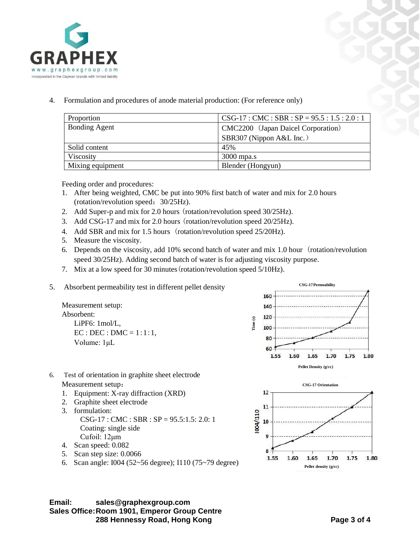

4. Formulation and procedures of anode material production: (For reference only)

| Proportion           | $CSG-17:CMC: SBR: SP = 95.5: 1.5: 2.0: 1$ |
|----------------------|-------------------------------------------|
| <b>Bonding Agent</b> | CMC2200 (Japan Daicel Corporation)        |
|                      | SBR307 (Nippon A&L Inc.)                  |
| Solid content        | 45%                                       |
| Viscosity            | $3000$ mpa.s                              |
| Mixing equipment     | Blender (Hongyun)                         |

Feeding order and procedures:

- 1. After being weighted, CMC be put into 90% first batch of water and mix for 2.0 hours (rotation/revolution speed:30/25Hz).
- 2. Add Super-p and mix for 2.0 hours (rotation/revolution speed 30/25Hz).
- 3. Add CSG-17 and mix for 2.0 hours (rotation/revolution speed 20/25Hz).
- 4. Add SBR and mix for 1.5 hours (rotation/revolution speed 25/20Hz).
- 5. Measure the viscosity.
- 6. Depends on the viscosity, add 10% second batch of water and mix 1.0 hour (rotation/revolution speed 30/25Hz). Adding second batch of water is for adjusting viscosity purpose.
- 7. Mix at a low speed for 30 minutes(rotation/revolution speed 5/10Hz).
- 5. Absorbent permeability test in different pellet density

Measurement setup: Absorbent: LiPF6: 1mol/L,  $EC : DEC : DMC = 1:1:1,$ Volume: 1μL



**Pellet density (g/cc)**

1.70

1.65

9

8

1.55

1.60

- 6. Test of orientation in graphite sheet electrode Measurement setup:
	- 1. Equipment: X-ray diffraction (XRD)
	- 2. Graphite sheet electrode
	- 3. formulation: CSG-17 : CMC : SBR : SP = 95.5:1.5: 2.0: 1 Coating: single side Cufoil: 12μm
	- 4. Scan speed: 0.082
	- 5. Scan step size: 0.0066
	- 6. Scan angle: I004 (52~56 degree); I110 (75~79 degree)

**Email: sales@graphexgroup.com Sales Office:Room 1901, Emperor Group Centre 288 Hennessy Road, Hong Kong Page 3 of 4**

1.75

1.80